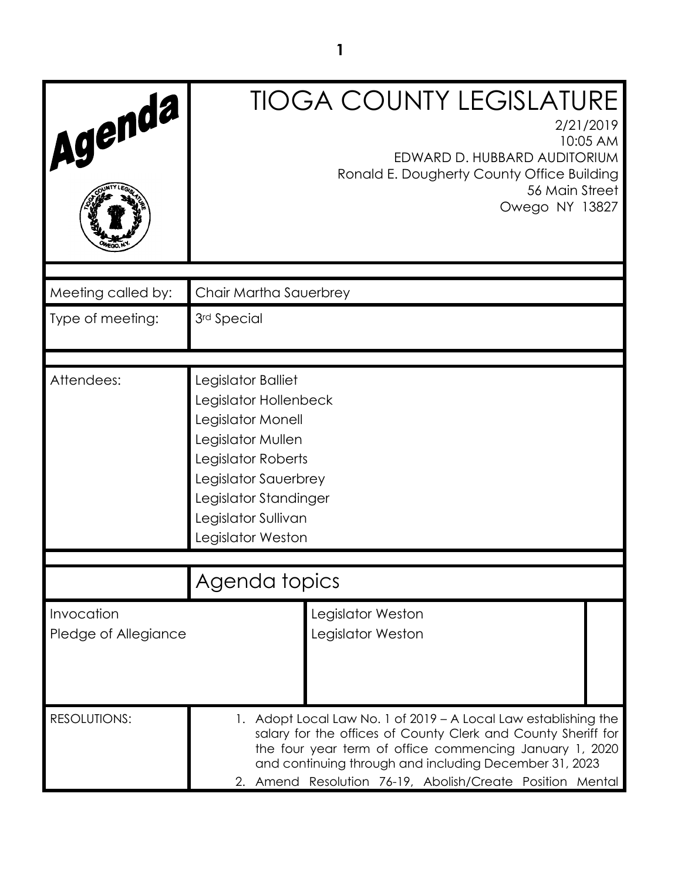| Agenda                             | <b>TIOGA COUNTY LEGISLATURE</b><br>2/21/2019<br>10:05 AM<br>EDWARD D. HUBBARD AUDITORIUM<br>Ronald E. Dougherty County Office Building<br>56 Main Street<br>Owego NY 13827                                                                                                                                         |  |  |  |  |
|------------------------------------|--------------------------------------------------------------------------------------------------------------------------------------------------------------------------------------------------------------------------------------------------------------------------------------------------------------------|--|--|--|--|
|                                    |                                                                                                                                                                                                                                                                                                                    |  |  |  |  |
| Meeting called by:                 | Chair Martha Sauerbrey                                                                                                                                                                                                                                                                                             |  |  |  |  |
| Type of meeting:                   | 3rd Special                                                                                                                                                                                                                                                                                                        |  |  |  |  |
|                                    |                                                                                                                                                                                                                                                                                                                    |  |  |  |  |
| Attendees:                         | Legislator Balliet<br>Legislator Hollenbeck<br>Legislator Monell<br>Legislator Mullen<br>Legislator Roberts<br>Legislator Sauerbrey<br>Legislator Standinger<br>Legislator Sullivan<br>Legislator Weston                                                                                                           |  |  |  |  |
|                                    |                                                                                                                                                                                                                                                                                                                    |  |  |  |  |
|                                    | Agenda topics                                                                                                                                                                                                                                                                                                      |  |  |  |  |
| Invocation<br>Pledge of Allegiance | Legislator Weston<br>Legislator Weston                                                                                                                                                                                                                                                                             |  |  |  |  |
| <b>RESOLUTIONS:</b>                | 1. Adopt Local Law No. 1 of 2019 – A Local Law establishing the<br>salary for the offices of County Clerk and County Sheriff for<br>the four year term of office commencing January 1, 2020<br>and continuing through and including December 31, 2023<br>2. Amend Resolution 76-19, Abolish/Create Position Mental |  |  |  |  |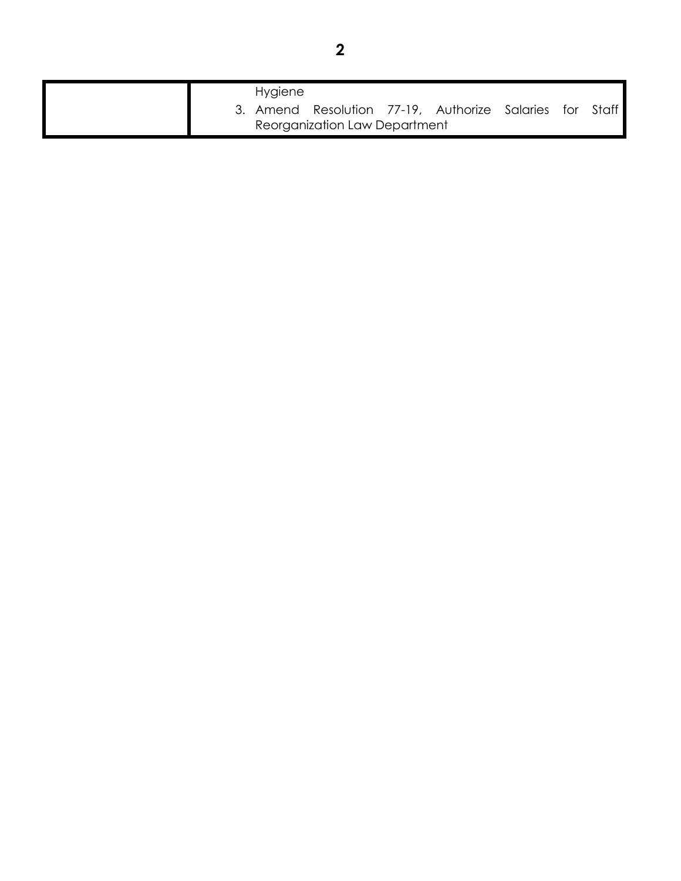|                               | <b>Hygiene</b> |                                                         |  |  |  |  |
|-------------------------------|----------------|---------------------------------------------------------|--|--|--|--|
|                               |                | 3. Amend Resolution 77-19, Authorize Salaries for Staff |  |  |  |  |
| Reorganization Law Department |                |                                                         |  |  |  |  |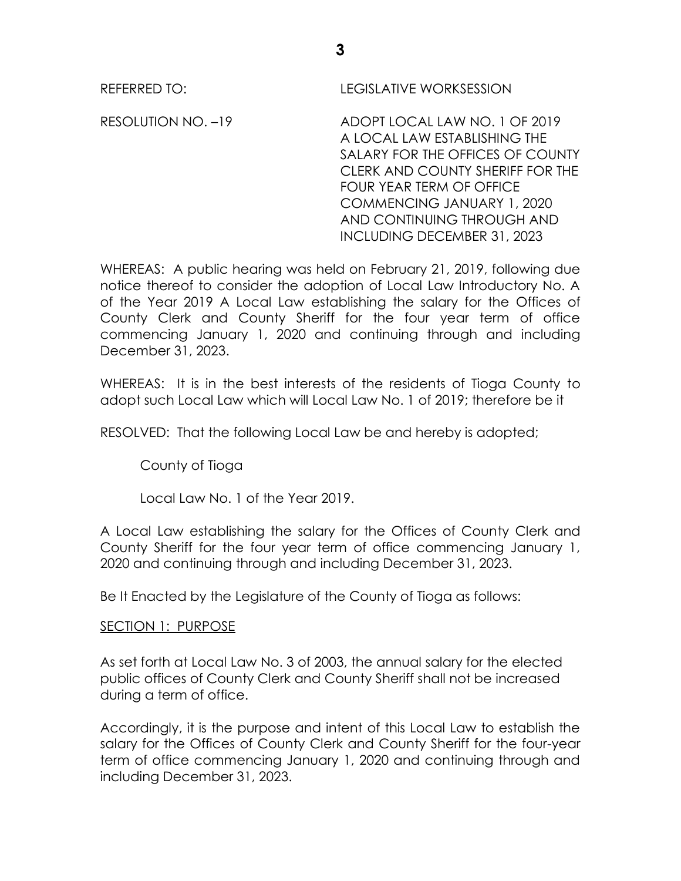REFERRED TO: LEGISLATIVE WORKSESSION

RESOLUTION NO. –19 ADOPT LOCAL LAW NO. 1 OF 2019 A LOCAL LAW ESTABLISHING THE SALARY FOR THE OFFICES OF COUNTY CLERK AND COUNTY SHERIFF FOR THE FOUR YEAR TERM OF OFFICE COMMENCING JANUARY 1, 2020 AND CONTINUING THROUGH AND INCLUDING DECEMBER 31, 2023

WHEREAS: A public hearing was held on February 21, 2019, following due notice thereof to consider the adoption of Local Law Introductory No. A of the Year 2019 A Local Law establishing the salary for the Offices of County Clerk and County Sheriff for the four year term of office commencing January 1, 2020 and continuing through and including December 31, 2023.

WHEREAS: It is in the best interests of the residents of Tioga County to adopt such Local Law which will Local Law No. 1 of 2019; therefore be it

RESOLVED: That the following Local Law be and hereby is adopted;

County of Tioga

Local Law No. 1 of the Year 2019.

A Local Law establishing the salary for the Offices of County Clerk and County Sheriff for the four year term of office commencing January 1, 2020 and continuing through and including December 31, 2023.

Be It Enacted by the Legislature of the County of Tioga as follows:

# SECTION 1: PURPOSE

As set forth at Local Law No. 3 of 2003, the annual salary for the elected public offices of County Clerk and County Sheriff shall not be increased during a term of office.

Accordingly, it is the purpose and intent of this Local Law to establish the salary for the Offices of County Clerk and County Sheriff for the four-year term of office commencing January 1, 2020 and continuing through and including December 31, 2023.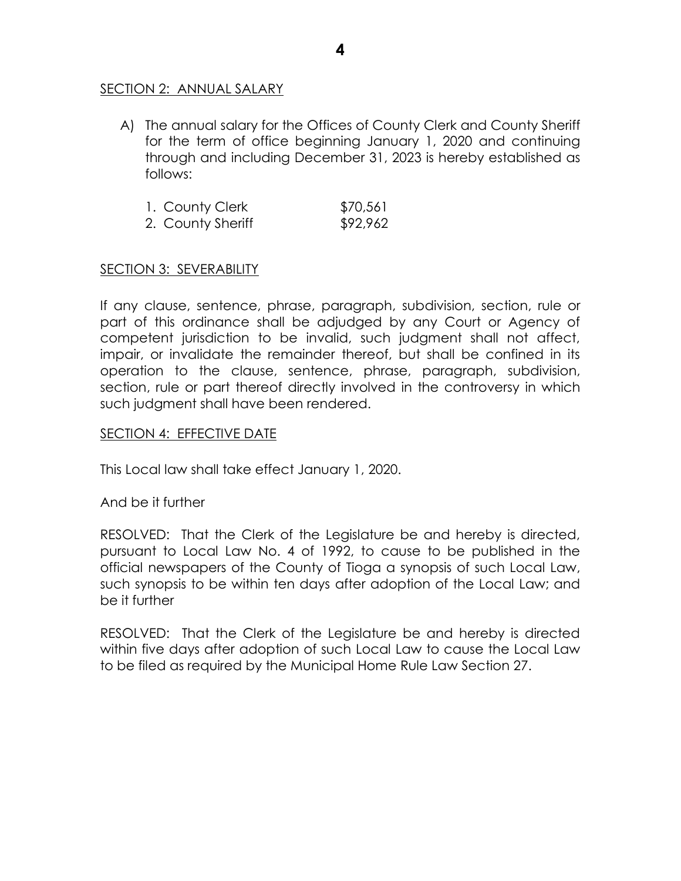# SECTION 2: ANNUAL SALARY

A) The annual salary for the Offices of County Clerk and County Sheriff for the term of office beginning January 1, 2020 and continuing through and including December 31, 2023 is hereby established as follows:

| 1. County Clerk   | \$70,561 |
|-------------------|----------|
| 2. County Sheriff | \$92,962 |

## SECTION 3: SEVERABILITY

If any clause, sentence, phrase, paragraph, subdivision, section, rule or part of this ordinance shall be adjudged by any Court or Agency of competent jurisdiction to be invalid, such judgment shall not affect, impair, or invalidate the remainder thereof, but shall be confined in its operation to the clause, sentence, phrase, paragraph, subdivision, section, rule or part thereof directly involved in the controversy in which such judgment shall have been rendered.

## SECTION 4: EFFECTIVE DATE

This Local law shall take effect January 1, 2020.

And be it further

RESOLVED: That the Clerk of the Legislature be and hereby is directed, pursuant to Local Law No. 4 of 1992, to cause to be published in the official newspapers of the County of Tioga a synopsis of such Local Law, such synopsis to be within ten days after adoption of the Local Law; and be it further

RESOLVED: That the Clerk of the Legislature be and hereby is directed within five days after adoption of such Local Law to cause the Local Law to be filed as required by the Municipal Home Rule Law Section 27.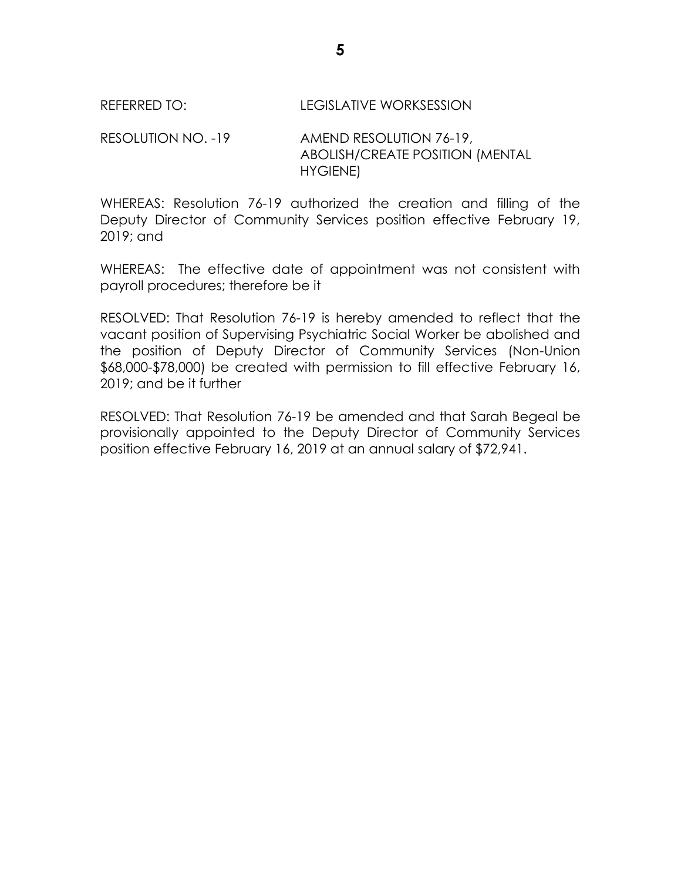RESOLUTION NO. -19 AMEND RESOLUTION 76-19, ABOLISH/CREATE POSITION (MENTAL HYGIENE)

WHEREAS: Resolution 76-19 authorized the creation and filling of the Deputy Director of Community Services position effective February 19, 2019; and

WHEREAS: The effective date of appointment was not consistent with payroll procedures; therefore be it

RESOLVED: That Resolution 76-19 is hereby amended to reflect that the vacant position of Supervising Psychiatric Social Worker be abolished and the position of Deputy Director of Community Services (Non-Union \$68,000-\$78,000) be created with permission to fill effective February 16, 2019; and be it further

RESOLVED: That Resolution 76-19 be amended and that Sarah Begeal be provisionally appointed to the Deputy Director of Community Services position effective February 16, 2019 at an annual salary of \$72,941.